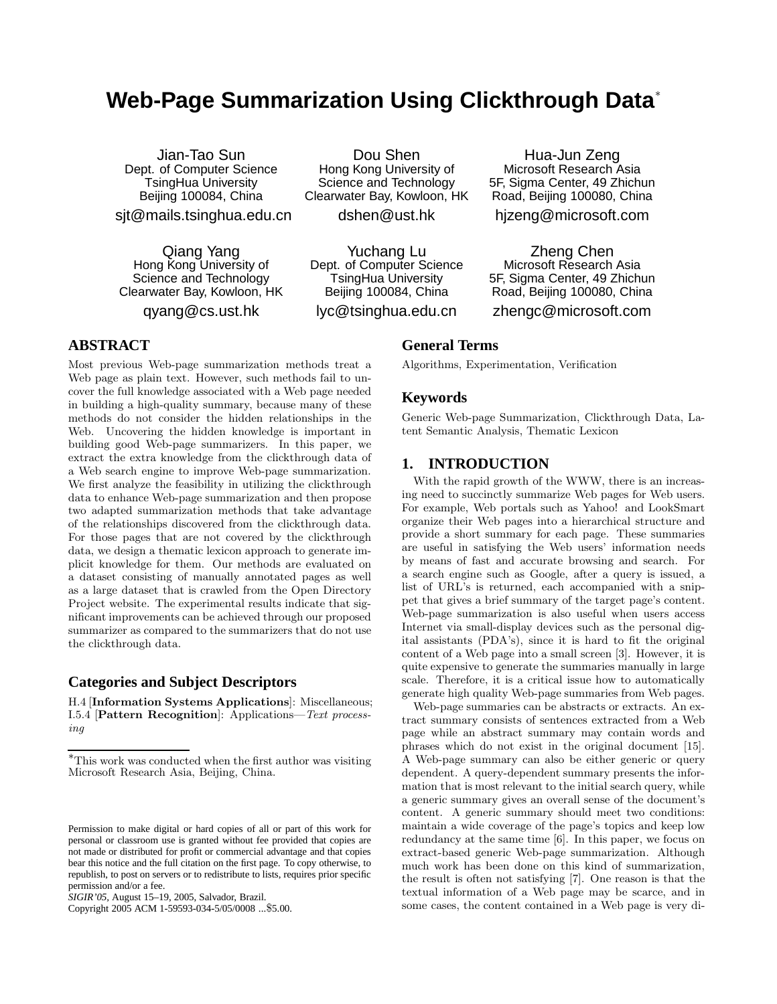# **Web-Page Summarization Using Clickthrough Data**<sup>∗</sup>

Jian-Tao Sun Dept. of Computer Science TsingHua University Beijing 100084, China sjt@mails.tsinghua.edu.cn

Qiang Yang Hong Kong University of Science and Technology Clearwater Bay, Kowloon, HK qyang@cs.ust.hk

Dou Shen Hong Kong University of Science and Technology Clearwater Bay, Kowloon, HK

dshen@ust.hk

Yuchang Lu Dept. of Computer Science TsingHua University Beijing 100084, China

lyc@tsinghua.edu.cn

Hua-Jun Zeng Microsoft Research Asia 5F, Sigma Center, 49 Zhichun Road, Beijing 100080, China

hjzeng@microsoft.com

Zheng Chen Microsoft Research Asia 5F, Sigma Center, 49 Zhichun Road, Beijing 100080, China

zhengc@microsoft.com

## **General Terms**

Algorithms, Experimentation, Verification

#### **Keywords**

Generic Web-page Summarization, Clickthrough Data, Latent Semantic Analysis, Thematic Lexicon

## **1. INTRODUCTION**

With the rapid growth of the WWW, there is an increasing need to succinctly summarize Web pages for Web users. For example, Web portals such as Yahoo! and LookSmart organize their Web pages into a hierarchical structure and provide a short summary for each page. These summaries are useful in satisfying the Web users' information needs by means of fast and accurate browsing and search. For a search engine such as Google, after a query is issued, a list of URL's is returned, each accompanied with a snippet that gives a brief summary of the target page's content. Web-page summarization is also useful when users access Internet via small-display devices such as the personal digital assistants (PDA's), since it is hard to fit the original content of a Web page into a small screen [3]. However, it is quite expensive to generate the summaries manually in large scale. Therefore, it is a critical issue how to automatically generate high quality Web-page summaries from Web pages.

Web-page summaries can be abstracts or extracts. An extract summary consists of sentences extracted from a Web page while an abstract summary may contain words and phrases which do not exist in the original document [15]. A Web-page summary can also be either generic or query dependent. A query-dependent summary presents the information that is most relevant to the initial search query, while a generic summary gives an overall sense of the document's content. A generic summary should meet two conditions: maintain a wide coverage of the page's topics and keep low redundancy at the same time [6]. In this paper, we focus on extract-based generic Web-page summarization. Although much work has been done on this kind of summarization, the result is often not satisfying [7]. One reason is that the textual information of a Web page may be scarce, and in some cases, the content contained in a Web page is very di-

# **ABSTRACT**

Most previous Web-page summarization methods treat a Web page as plain text. However, such methods fail to uncover the full knowledge associated with a Web page needed in building a high-quality summary, because many of these methods do not consider the hidden relationships in the Web. Uncovering the hidden knowledge is important in building good Web-page summarizers. In this paper, we extract the extra knowledge from the clickthrough data of a Web search engine to improve Web-page summarization. We first analyze the feasibility in utilizing the clickthrough data to enhance Web-page summarization and then propose two adapted summarization methods that take advantage of the relationships discovered from the clickthrough data. For those pages that are not covered by the clickthrough data, we design a thematic lexicon approach to generate implicit knowledge for them. Our methods are evaluated on a dataset consisting of manually annotated pages as well as a large dataset that is crawled from the Open Directory Project website. The experimental results indicate that significant improvements can be achieved through our proposed summarizer as compared to the summarizers that do not use the clickthrough data.

# **Categories and Subject Descriptors**

H.4 [Information Systems Applications]: Miscellaneous; I.5.4 [Pattern Recognition]: Applications—Text processing

Copyright 2005 ACM 1-59593-034-5/05/0008 ...\$5.00.

<sup>∗</sup>This work was conducted when the first author was visiting Microsoft Research Asia, Beijing, China.

Permission to make digital or hard copies of all or part of this work for personal or classroom use is granted without fee provided that copies are not made or distributed for profit or commercial advantage and that copies bear this notice and the full citation on the first page. To copy otherwise, to republish, to post on servers or to redistribute to lists, requires prior specific permission and/or a fee.

*SIGIR'05,* August 15–19, 2005, Salvador, Brazil.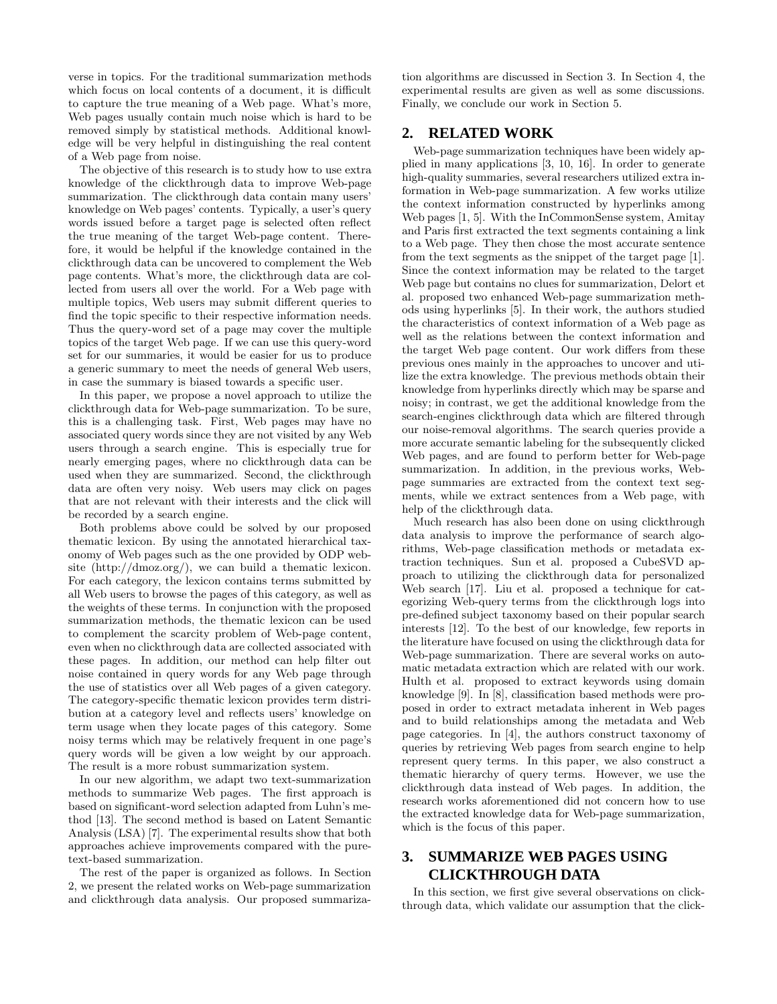verse in topics. For the traditional summarization methods which focus on local contents of a document, it is difficult to capture the true meaning of a Web page. What's more, Web pages usually contain much noise which is hard to be removed simply by statistical methods. Additional knowledge will be very helpful in distinguishing the real content of a Web page from noise.

The objective of this research is to study how to use extra knowledge of the clickthrough data to improve Web-page summarization. The clickthrough data contain many users' knowledge on Web pages' contents. Typically, a user's query words issued before a target page is selected often reflect the true meaning of the target Web-page content. Therefore, it would be helpful if the knowledge contained in the clickthrough data can be uncovered to complement the Web page contents. What's more, the clickthrough data are collected from users all over the world. For a Web page with multiple topics, Web users may submit different queries to find the topic specific to their respective information needs. Thus the query-word set of a page may cover the multiple topics of the target Web page. If we can use this query-word set for our summaries, it would be easier for us to produce a generic summary to meet the needs of general Web users, in case the summary is biased towards a specific user.

In this paper, we propose a novel approach to utilize the clickthrough data for Web-page summarization. To be sure, this is a challenging task. First, Web pages may have no associated query words since they are not visited by any Web users through a search engine. This is especially true for nearly emerging pages, where no clickthrough data can be used when they are summarized. Second, the clickthrough data are often very noisy. Web users may click on pages that are not relevant with their interests and the click will be recorded by a search engine.

Both problems above could be solved by our proposed thematic lexicon. By using the annotated hierarchical taxonomy of Web pages such as the one provided by ODP website  $(\text{http://dmoz.org/})$ , we can build a thematic lexicon. For each category, the lexicon contains terms submitted by all Web users to browse the pages of this category, as well as the weights of these terms. In conjunction with the proposed summarization methods, the thematic lexicon can be used to complement the scarcity problem of Web-page content, even when no clickthrough data are collected associated with these pages. In addition, our method can help filter out noise contained in query words for any Web page through the use of statistics over all Web pages of a given category. The category-specific thematic lexicon provides term distribution at a category level and reflects users' knowledge on term usage when they locate pages of this category. Some noisy terms which may be relatively frequent in one page's query words will be given a low weight by our approach. The result is a more robust summarization system.

In our new algorithm, we adapt two text-summarization methods to summarize Web pages. The first approach is based on significant-word selection adapted from Luhn's method [13]. The second method is based on Latent Semantic Analysis (LSA) [7]. The experimental results show that both approaches achieve improvements compared with the puretext-based summarization.

The rest of the paper is organized as follows. In Section 2, we present the related works on Web-page summarization and clickthrough data analysis. Our proposed summarization algorithms are discussed in Section 3. In Section 4, the experimental results are given as well as some discussions. Finally, we conclude our work in Section 5.

# **2. RELATED WORK**

Web-page summarization techniques have been widely applied in many applications [3, 10, 16]. In order to generate high-quality summaries, several researchers utilized extra information in Web-page summarization. A few works utilize the context information constructed by hyperlinks among Web pages [1, 5]. With the InCommonSense system, Amitay and Paris first extracted the text segments containing a link to a Web page. They then chose the most accurate sentence from the text segments as the snippet of the target page [1]. Since the context information may be related to the target Web page but contains no clues for summarization, Delort et al. proposed two enhanced Web-page summarization methods using hyperlinks [5]. In their work, the authors studied the characteristics of context information of a Web page as well as the relations between the context information and the target Web page content. Our work differs from these previous ones mainly in the approaches to uncover and utilize the extra knowledge. The previous methods obtain their knowledge from hyperlinks directly which may be sparse and noisy; in contrast, we get the additional knowledge from the search-engines clickthrough data which are filtered through our noise-removal algorithms. The search queries provide a more accurate semantic labeling for the subsequently clicked Web pages, and are found to perform better for Web-page summarization. In addition, in the previous works, Webpage summaries are extracted from the context text segments, while we extract sentences from a Web page, with help of the clickthrough data.

Much research has also been done on using clickthrough data analysis to improve the performance of search algorithms, Web-page classification methods or metadata extraction techniques. Sun et al. proposed a CubeSVD approach to utilizing the clickthrough data for personalized Web search [17]. Liu et al. proposed a technique for categorizing Web-query terms from the clickthrough logs into pre-defined subject taxonomy based on their popular search interests [12]. To the best of our knowledge, few reports in the literature have focused on using the clickthrough data for Web-page summarization. There are several works on automatic metadata extraction which are related with our work. Hulth et al. proposed to extract keywords using domain knowledge [9]. In [8], classification based methods were proposed in order to extract metadata inherent in Web pages and to build relationships among the metadata and Web page categories. In [4], the authors construct taxonomy of queries by retrieving Web pages from search engine to help represent query terms. In this paper, we also construct a thematic hierarchy of query terms. However, we use the clickthrough data instead of Web pages. In addition, the research works aforementioned did not concern how to use the extracted knowledge data for Web-page summarization, which is the focus of this paper.

# **3. SUMMARIZE WEB PAGES USING CLICKTHROUGH DATA**

In this section, we first give several observations on clickthrough data, which validate our assumption that the click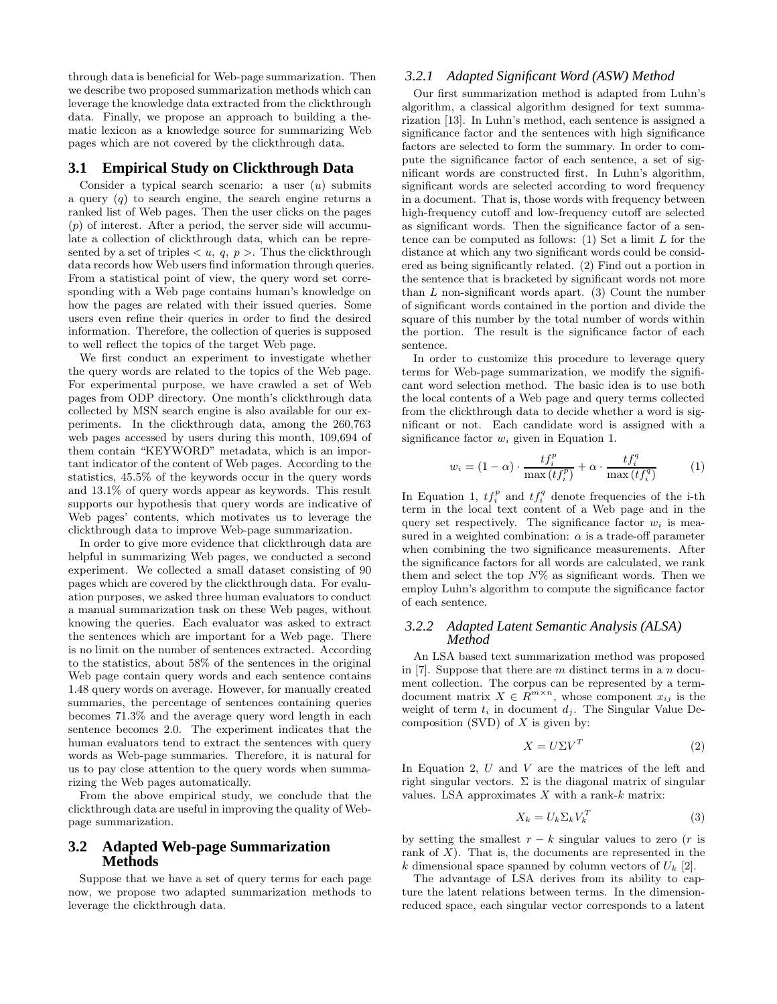through data is beneficial for Web-page summarization. Then we describe two proposed summarization methods which can leverage the knowledge data extracted from the clickthrough data. Finally, we propose an approach to building a thematic lexicon as a knowledge source for summarizing Web pages which are not covered by the clickthrough data.

## **3.1 Empirical Study on Clickthrough Data**

Consider a typical search scenario: a user  $(u)$  submits a query  $(q)$  to search engine, the search engine returns a ranked list of Web pages. Then the user clicks on the pages  $(p)$  of interest. After a period, the server side will accumulate a collection of clickthrough data, which can be represented by a set of triples  $\langle u, q, p \rangle$ . Thus the clickthrough data records how Web users find information through queries. From a statistical point of view, the query word set corresponding with a Web page contains human's knowledge on how the pages are related with their issued queries. Some users even refine their queries in order to find the desired information. Therefore, the collection of queries is supposed to well reflect the topics of the target Web page.

We first conduct an experiment to investigate whether the query words are related to the topics of the Web page. For experimental purpose, we have crawled a set of Web pages from ODP directory. One month's clickthrough data collected by MSN search engine is also available for our experiments. In the clickthrough data, among the 260,763 web pages accessed by users during this month, 109,694 of them contain "KEYWORD" metadata, which is an important indicator of the content of Web pages. According to the statistics, 45.5% of the keywords occur in the query words and 13.1% of query words appear as keywords. This result supports our hypothesis that query words are indicative of Web pages' contents, which motivates us to leverage the clickthrough data to improve Web-page summarization.

In order to give more evidence that clickthrough data are helpful in summarizing Web pages, we conducted a second experiment. We collected a small dataset consisting of 90 pages which are covered by the clickthrough data. For evaluation purposes, we asked three human evaluators to conduct a manual summarization task on these Web pages, without knowing the queries. Each evaluator was asked to extract the sentences which are important for a Web page. There is no limit on the number of sentences extracted. According to the statistics, about 58% of the sentences in the original Web page contain query words and each sentence contains 1.48 query words on average. However, for manually created summaries, the percentage of sentences containing queries becomes 71.3% and the average query word length in each sentence becomes 2.0. The experiment indicates that the human evaluators tend to extract the sentences with query words as Web-page summaries. Therefore, it is natural for us to pay close attention to the query words when summarizing the Web pages automatically.

From the above empirical study, we conclude that the clickthrough data are useful in improving the quality of Webpage summarization.

## **3.2 Adapted Web-page Summarization Methods**

Suppose that we have a set of query terms for each page now, we propose two adapted summarization methods to leverage the clickthrough data.

#### *3.2.1 Adapted Significant Word (ASW) Method*

Our first summarization method is adapted from Luhn's algorithm, a classical algorithm designed for text summarization [13]. In Luhn's method, each sentence is assigned a significance factor and the sentences with high significance factors are selected to form the summary. In order to compute the significance factor of each sentence, a set of significant words are constructed first. In Luhn's algorithm, significant words are selected according to word frequency in a document. That is, those words with frequency between high-frequency cutoff and low-frequency cutoff are selected as significant words. Then the significance factor of a sentence can be computed as follows:  $(1)$  Set a limit L for the distance at which any two significant words could be considered as being significantly related. (2) Find out a portion in the sentence that is bracketed by significant words not more than  $L$  non-significant words apart. (3) Count the number of significant words contained in the portion and divide the square of this number by the total number of words within the portion. The result is the significance factor of each sentence.

In order to customize this procedure to leverage query terms for Web-page summarization, we modify the significant word selection method. The basic idea is to use both the local contents of a Web page and query terms collected from the clickthrough data to decide whether a word is significant or not. Each candidate word is assigned with a significance factor  $w_i$  given in Equation 1.

$$
w_i = (1 - \alpha) \cdot \frac{tf_i^p}{\max(tf_i^p)} + \alpha \cdot \frac{tf_i^q}{\max(tf_i^q)}
$$
(1)

In Equation 1,  $tf_i^p$  and  $tf_i^q$  denote frequencies of the i-th term in the local text content of a Web page and in the query set respectively. The significance factor  $w_i$  is measured in a weighted combination:  $\alpha$  is a trade-off parameter when combining the two significance measurements. After the significance factors for all words are calculated, we rank them and select the top  $N\%$  as significant words. Then we employ Luhn's algorithm to compute the significance factor of each sentence.

#### *3.2.2 Adapted Latent Semantic Analysis (ALSA) Method*

An LSA based text summarization method was proposed in [7]. Suppose that there are  $m$  distinct terms in a  $n$  document collection. The corpus can be represented by a termdocument matrix  $X \in R^{m \times n}$ , whose component  $x_{ij}$  is the weight of term  $t_i$  in document  $d_i$ . The Singular Value Decomposition (SVD) of  $X$  is given by:

$$
X = U\Sigma V^T \tag{2}
$$

In Equation 2,  $U$  and  $V$  are the matrices of the left and right singular vectors.  $\Sigma$  is the diagonal matrix of singular values. LSA approximates  $X$  with a rank- $k$  matrix:

$$
X_k = U_k \Sigma_k V_k^T \tag{3}
$$

by setting the smallest  $r - k$  singular values to zero (r is rank of  $X$ ). That is, the documents are represented in the k dimensional space spanned by column vectors of  $U_k$  [2].

The advantage of LSA derives from its ability to capture the latent relations between terms. In the dimensionreduced space, each singular vector corresponds to a latent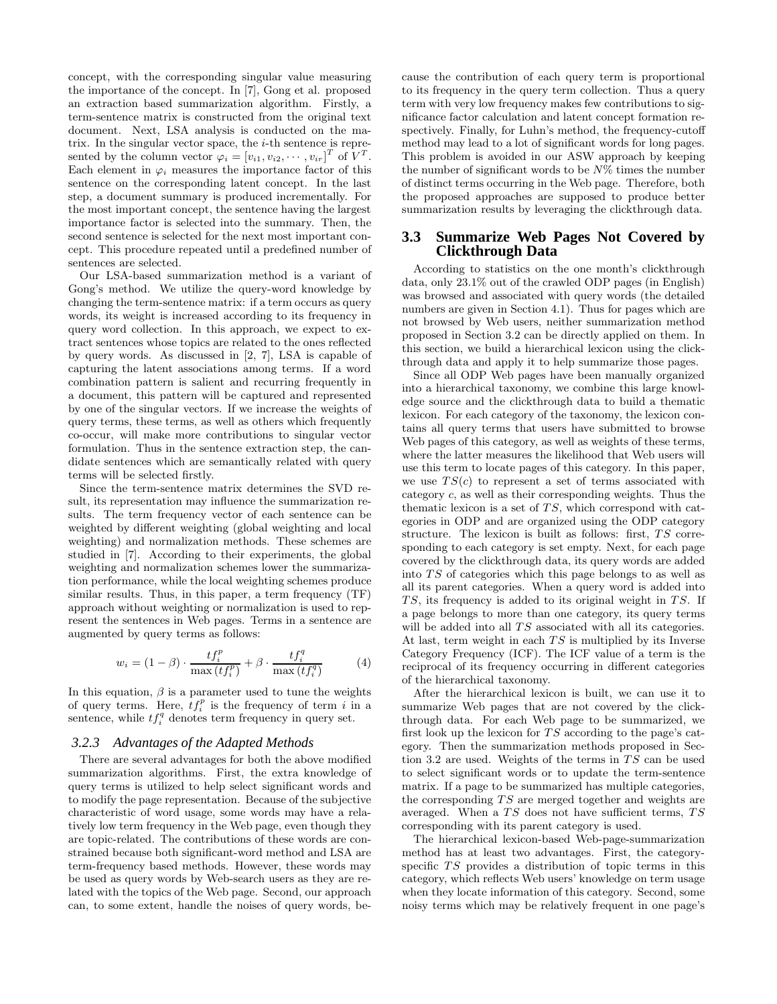concept, with the corresponding singular value measuring the importance of the concept. In [7], Gong et al. proposed an extraction based summarization algorithm. Firstly, a term-sentence matrix is constructed from the original text document. Next, LSA analysis is conducted on the matrix. In the singular vector space, the  $i$ -th sentence is represented by the column vector  $\varphi_i = [v_{i1}, v_{i2}, \cdots, v_{ir}]^T$  of  $V^T$ . Each element in  $\varphi_i$  measures the importance factor of this sentence on the corresponding latent concept. In the last step, a document summary is produced incrementally. For the most important concept, the sentence having the largest importance factor is selected into the summary. Then, the second sentence is selected for the next most important concept. This procedure repeated until a predefined number of sentences are selected.

Our LSA-based summarization method is a variant of Gong's method. We utilize the query-word knowledge by changing the term-sentence matrix: if a term occurs as query words, its weight is increased according to its frequency in query word collection. In this approach, we expect to extract sentences whose topics are related to the ones reflected by query words. As discussed in [2, 7], LSA is capable of capturing the latent associations among terms. If a word combination pattern is salient and recurring frequently in a document, this pattern will be captured and represented by one of the singular vectors. If we increase the weights of query terms, these terms, as well as others which frequently co-occur, will make more contributions to singular vector formulation. Thus in the sentence extraction step, the candidate sentences which are semantically related with query terms will be selected firstly.

Since the term-sentence matrix determines the SVD result, its representation may influence the summarization results. The term frequency vector of each sentence can be weighted by different weighting (global weighting and local weighting) and normalization methods. These schemes are studied in [7]. According to their experiments, the global weighting and normalization schemes lower the summarization performance, while the local weighting schemes produce similar results. Thus, in this paper, a term frequency (TF) approach without weighting or normalization is used to represent the sentences in Web pages. Terms in a sentence are augmented by query terms as follows:

$$
w_i = (1 - \beta) \cdot \frac{tf_i^p}{\max(tf_i^p)} + \beta \cdot \frac{tf_i^q}{\max(tf_i^q)}
$$
(4)

In this equation,  $\beta$  is a parameter used to tune the weights of query terms. Here,  $t f_i^p$  is the frequency of term i in a sentence, while  $tf_i^q$  denotes term frequency in query set.

#### *3.2.3 Advantages of the Adapted Methods*

There are several advantages for both the above modified summarization algorithms. First, the extra knowledge of query terms is utilized to help select significant words and to modify the page representation. Because of the subjective characteristic of word usage, some words may have a relatively low term frequency in the Web page, even though they are topic-related. The contributions of these words are constrained because both significant-word method and LSA are term-frequency based methods. However, these words may be used as query words by Web-search users as they are related with the topics of the Web page. Second, our approach can, to some extent, handle the noises of query words, because the contribution of each query term is proportional to its frequency in the query term collection. Thus a query term with very low frequency makes few contributions to significance factor calculation and latent concept formation respectively. Finally, for Luhn's method, the frequency-cutoff method may lead to a lot of significant words for long pages. This problem is avoided in our ASW approach by keeping the number of significant words to be  $N\%$  times the number of distinct terms occurring in the Web page. Therefore, both the proposed approaches are supposed to produce better summarization results by leveraging the clickthrough data.

# **3.3 Summarize Web Pages Not Covered by Clickthrough Data**

According to statistics on the one month's clickthrough data, only 23.1% out of the crawled ODP pages (in English) was browsed and associated with query words (the detailed numbers are given in Section 4.1). Thus for pages which are not browsed by Web users, neither summarization method proposed in Section 3.2 can be directly applied on them. In this section, we build a hierarchical lexicon using the clickthrough data and apply it to help summarize those pages.

Since all ODP Web pages have been manually organized into a hierarchical taxonomy, we combine this large knowledge source and the clickthrough data to build a thematic lexicon. For each category of the taxonomy, the lexicon contains all query terms that users have submitted to browse Web pages of this category, as well as weights of these terms, where the latter measures the likelihood that Web users will use this term to locate pages of this category. In this paper, we use  $TS(c)$  to represent a set of terms associated with category c, as well as their corresponding weights. Thus the thematic lexicon is a set of TS, which correspond with categories in ODP and are organized using the ODP category structure. The lexicon is built as follows: first, TS corresponding to each category is set empty. Next, for each page covered by the clickthrough data, its query words are added into TS of categories which this page belongs to as well as all its parent categories. When a query word is added into TS, its frequency is added to its original weight in TS. If a page belongs to more than one category, its query terms will be added into all  $\mathit{TS}$  associated with all its categories. At last, term weight in each  $TS$  is multiplied by its Inverse Category Frequency (ICF). The ICF value of a term is the reciprocal of its frequency occurring in different categories of the hierarchical taxonomy.

After the hierarchical lexicon is built, we can use it to summarize Web pages that are not covered by the clickthrough data. For each Web page to be summarized, we first look up the lexicon for  $TS$  according to the page's category. Then the summarization methods proposed in Section 3.2 are used. Weights of the terms in  $TS$  can be used to select significant words or to update the term-sentence matrix. If a page to be summarized has multiple categories, the corresponding TS are merged together and weights are averaged. When a TS does not have sufficient terms, TS corresponding with its parent category is used.

The hierarchical lexicon-based Web-page-summarization method has at least two advantages. First, the categoryspecific TS provides a distribution of topic terms in this category, which reflects Web users' knowledge on term usage when they locate information of this category. Second, some noisy terms which may be relatively frequent in one page's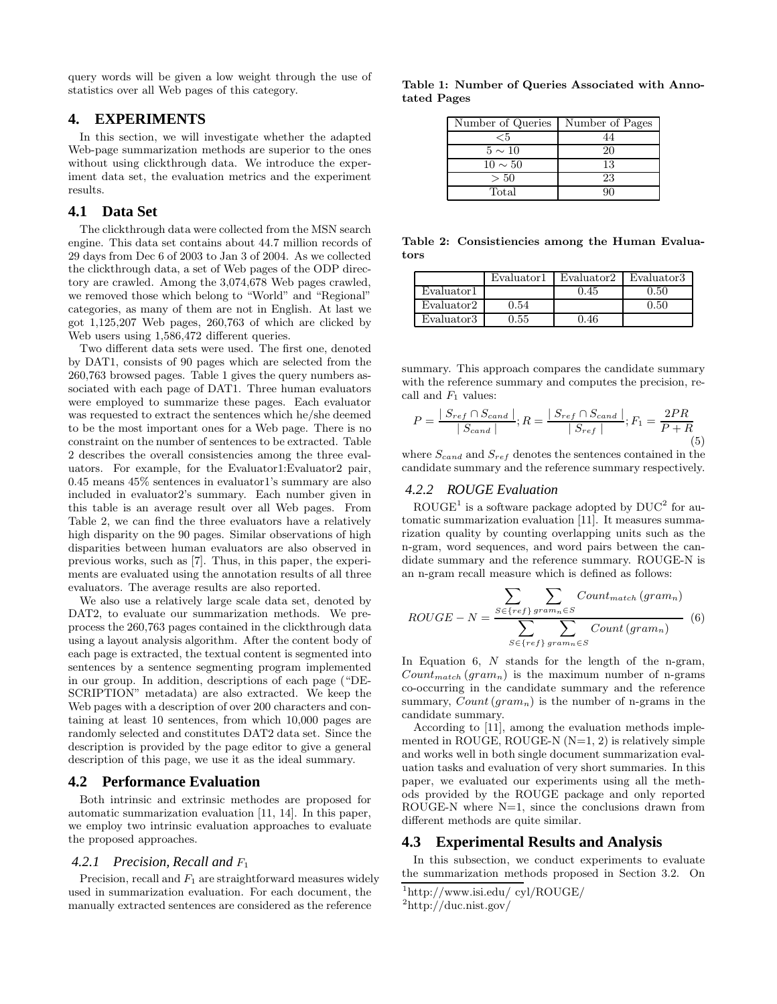query words will be given a low weight through the use of statistics over all Web pages of this category.

### **4. EXPERIMENTS**

In this section, we will investigate whether the adapted Web-page summarization methods are superior to the ones without using clickthrough data. We introduce the experiment data set, the evaluation metrics and the experiment results.

## **4.1 Data Set**

The clickthrough data were collected from the MSN search engine. This data set contains about 44.7 million records of 29 days from Dec 6 of 2003 to Jan 3 of 2004. As we collected the clickthrough data, a set of Web pages of the ODP directory are crawled. Among the 3,074,678 Web pages crawled, we removed those which belong to "World" and "Regional" categories, as many of them are not in English. At last we got 1,125,207 Web pages, 260,763 of which are clicked by Web users using 1,586,472 different queries.

Two different data sets were used. The first one, denoted by DAT1, consists of 90 pages which are selected from the 260,763 browsed pages. Table 1 gives the query numbers associated with each page of DAT1. Three human evaluators were employed to summarize these pages. Each evaluator was requested to extract the sentences which he/she deemed to be the most important ones for a Web page. There is no constraint on the number of sentences to be extracted. Table 2 describes the overall consistencies among the three evaluators. For example, for the Evaluator1:Evaluator2 pair, 0.45 means 45% sentences in evaluator1's summary are also included in evaluator2's summary. Each number given in this table is an average result over all Web pages. From Table 2, we can find the three evaluators have a relatively high disparity on the 90 pages. Similar observations of high disparities between human evaluators are also observed in previous works, such as [7]. Thus, in this paper, the experiments are evaluated using the annotation results of all three evaluators. The average results are also reported.

We also use a relatively large scale data set, denoted by DAT2, to evaluate our summarization methods. We preprocess the 260,763 pages contained in the clickthrough data using a layout analysis algorithm. After the content body of each page is extracted, the textual content is segmented into sentences by a sentence segmenting program implemented in our group. In addition, descriptions of each page ("DE-SCRIPTION" metadata) are also extracted. We keep the Web pages with a description of over 200 characters and containing at least 10 sentences, from which 10,000 pages are randomly selected and constitutes DAT2 data set. Since the description is provided by the page editor to give a general description of this page, we use it as the ideal summary.

#### **4.2 Performance Evaluation**

Both intrinsic and extrinsic methodes are proposed for automatic summarization evaluation [11, 14]. In this paper, we employ two intrinsic evaluation approaches to evaluate the proposed approaches.

#### *4.2.1 Precision, Recall and* F<sup>1</sup>

Precision, recall and  $F_1$  are straightforward measures widely used in summarization evaluation. For each document, the manually extracted sentences are considered as the reference

Table 1: Number of Queries Associated with Annotated Pages

| Number of Queries | Number of Pages |
|-------------------|-----------------|
| ${<}5$            | 44              |
| $5 \sim 10$       | 20              |
| $10 \sim 50$      | 13              |
| > 50              | 23              |
| Total             |                 |

Table 2: Consistiencies among the Human Evaluators

|            | Evaluator1 | Evaluator2 | Evaluator3 |
|------------|------------|------------|------------|
| Evaluator1 |            | 0.45       | 0.50       |
| Evaluator2 | 0.54       |            | 0.50       |
| Evaluator3 | $0.55\,$   | 0.46       |            |

summary. This approach compares the candidate summary with the reference summary and computes the precision, recall and  $F_1$  values:

$$
P = \frac{|S_{ref} \cap S_{cand}|}{|S_{cand}|}; R = \frac{|S_{ref} \cap S_{cand}|}{|S_{ref}|}; F_1 = \frac{2PR}{P+R}
$$
\n(5)

where  $S_{cand}$  and  $S_{ref}$  denotes the sentences contained in the candidate summary and the reference summary respectively.

## *4.2.2 ROUGE Evaluation*

 $\mathrm{ROUGE}^1$  is a software package adopted by  $\mathrm{DUC}^2$  for automatic summarization evaluation [11]. It measures summarization quality by counting overlapping units such as the n-gram, word sequences, and word pairs between the candidate summary and the reference summary. ROUGE-N is an n-gram recall measure which is defined as follows:

$$
ROUGE - N = \frac{\sum_{S \in \{ref\}} \sum_{gram_n \in S} Count_{match} (gram_n)}{\sum_{S \in \{ref\}} \sum_{gram_n \in S} Count (gram_n)}
$$
(6)

In Equation 6, N stands for the length of the n-gram,  $Count_{match}(gram_n)$  is the maximum number of n-grams co-occurring in the candidate summary and the reference summary,  $Count(gram_n)$  is the number of n-grams in the candidate summary.

According to [11], among the evaluation methods implemented in ROUGE, ROUGE-N  $(N=1, 2)$  is relatively simple and works well in both single document summarization evaluation tasks and evaluation of very short summaries. In this paper, we evaluated our experiments using all the methods provided by the ROUGE package and only reported ROUGE-N where  $N=1$ , since the conclusions drawn from different methods are quite similar.

### **4.3 Experimental Results and Analysis**

In this subsection, we conduct experiments to evaluate the summarization methods proposed in Section 3.2. On

<sup>1</sup>http://www.isi.edu/ cyl/ROUGE/

<sup>2</sup>http://duc.nist.gov/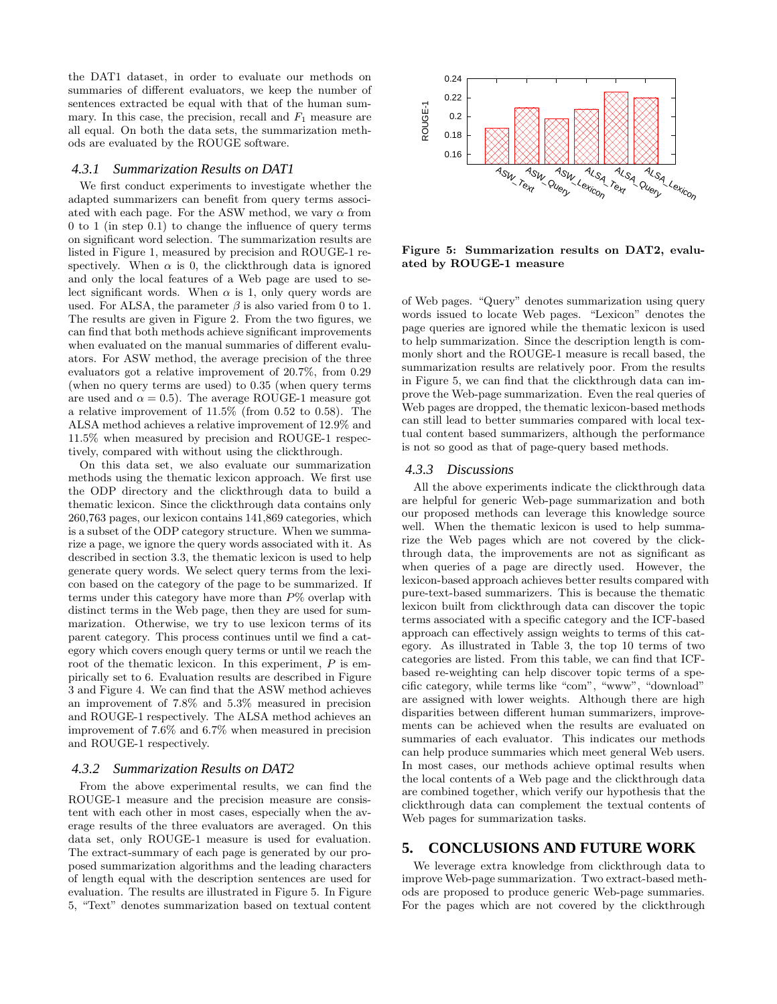the DAT1 dataset, in order to evaluate our methods on summaries of different evaluators, we keep the number of sentences extracted be equal with that of the human summary. In this case, the precision, recall and  $F_1$  measure are all equal. On both the data sets, the summarization methods are evaluated by the ROUGE software.

#### *4.3.1 Summarization Results on DAT1*

We first conduct experiments to investigate whether the adapted summarizers can benefit from query terms associated with each page. For the ASW method, we vary  $\alpha$  from 0 to 1 (in step 0.1) to change the influence of query terms on significant word selection. The summarization results are listed in Figure 1, measured by precision and ROUGE-1 respectively. When  $\alpha$  is 0, the clickthrough data is ignored and only the local features of a Web page are used to select significant words. When  $\alpha$  is 1, only query words are used. For ALSA, the parameter  $\beta$  is also varied from 0 to 1. The results are given in Figure 2. From the two figures, we can find that both methods achieve significant improvements when evaluated on the manual summaries of different evaluators. For ASW method, the average precision of the three evaluators got a relative improvement of 20.7%, from 0.29 (when no query terms are used) to 0.35 (when query terms are used and  $\alpha = 0.5$ . The average ROUGE-1 measure got a relative improvement of 11.5% (from 0.52 to 0.58). The ALSA method achieves a relative improvement of 12.9% and 11.5% when measured by precision and ROUGE-1 respectively, compared with without using the clickthrough.

On this data set, we also evaluate our summarization methods using the thematic lexicon approach. We first use the ODP directory and the clickthrough data to build a thematic lexicon. Since the clickthrough data contains only 260,763 pages, our lexicon contains 141,869 categories, which is a subset of the ODP category structure. When we summarize a page, we ignore the query words associated with it. As described in section 3.3, the thematic lexicon is used to help generate query words. We select query terms from the lexicon based on the category of the page to be summarized. If terms under this category have more than  $P\%$  overlap with distinct terms in the Web page, then they are used for summarization. Otherwise, we try to use lexicon terms of its parent category. This process continues until we find a category which covers enough query terms or until we reach the root of the thematic lexicon. In this experiment, P is empirically set to 6. Evaluation results are described in Figure 3 and Figure 4. We can find that the ASW method achieves an improvement of 7.8% and 5.3% measured in precision and ROUGE-1 respectively. The ALSA method achieves an improvement of 7.6% and 6.7% when measured in precision and ROUGE-1 respectively.

#### *4.3.2 Summarization Results on DAT2*

From the above experimental results, we can find the ROUGE-1 measure and the precision measure are consistent with each other in most cases, especially when the average results of the three evaluators are averaged. On this data set, only ROUGE-1 measure is used for evaluation. The extract-summary of each page is generated by our proposed summarization algorithms and the leading characters of length equal with the description sentences are used for evaluation. The results are illustrated in Figure 5. In Figure 5, "Text" denotes summarization based on textual content



Figure 5: Summarization results on DAT2, evaluated by ROUGE-1 measure

of Web pages. "Query" denotes summarization using query words issued to locate Web pages. "Lexicon" denotes the page queries are ignored while the thematic lexicon is used to help summarization. Since the description length is commonly short and the ROUGE-1 measure is recall based, the summarization results are relatively poor. From the results in Figure 5, we can find that the clickthrough data can improve the Web-page summarization. Even the real queries of Web pages are dropped, the thematic lexicon-based methods can still lead to better summaries compared with local textual content based summarizers, although the performance is not so good as that of page-query based methods.

#### *4.3.3 Discussions*

All the above experiments indicate the clickthrough data are helpful for generic Web-page summarization and both our proposed methods can leverage this knowledge source well. When the thematic lexicon is used to help summarize the Web pages which are not covered by the clickthrough data, the improvements are not as significant as when queries of a page are directly used. However, the lexicon-based approach achieves better results compared with pure-text-based summarizers. This is because the thematic lexicon built from clickthrough data can discover the topic terms associated with a specific category and the ICF-based approach can effectively assign weights to terms of this category. As illustrated in Table 3, the top 10 terms of two categories are listed. From this table, we can find that ICFbased re-weighting can help discover topic terms of a specific category, while terms like "com", "www", "download" are assigned with lower weights. Although there are high disparities between different human summarizers, improvements can be achieved when the results are evaluated on summaries of each evaluator. This indicates our methods can help produce summaries which meet general Web users. In most cases, our methods achieve optimal results when the local contents of a Web page and the clickthrough data are combined together, which verify our hypothesis that the clickthrough data can complement the textual contents of Web pages for summarization tasks.

## **5. CONCLUSIONS AND FUTURE WORK**

We leverage extra knowledge from clickthrough data to improve Web-page summarization. Two extract-based methods are proposed to produce generic Web-page summaries. For the pages which are not covered by the clickthrough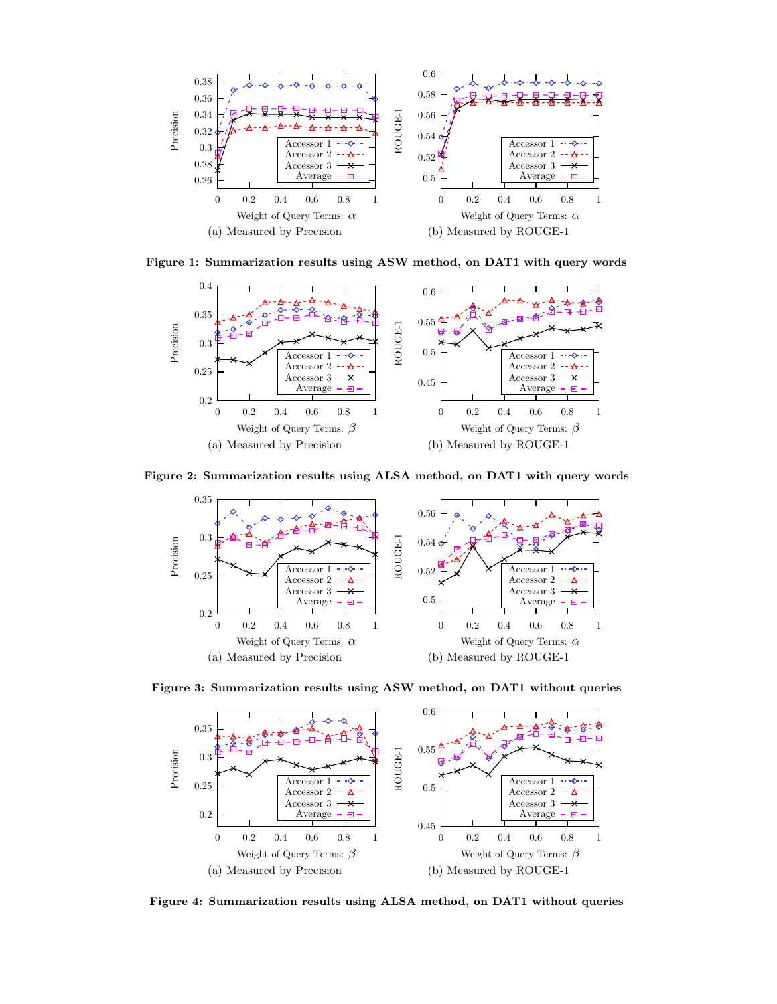

Figure 1: Summarization results using ASW method, on DAT1 with query words



Figure 2: Summarization results using ALSA method, on DAT1 with query words



Figure 3: Summarization results using ASW method, on DAT1 without queries



Figure 4: Summarization results using ALSA method, on DAT1 without queries